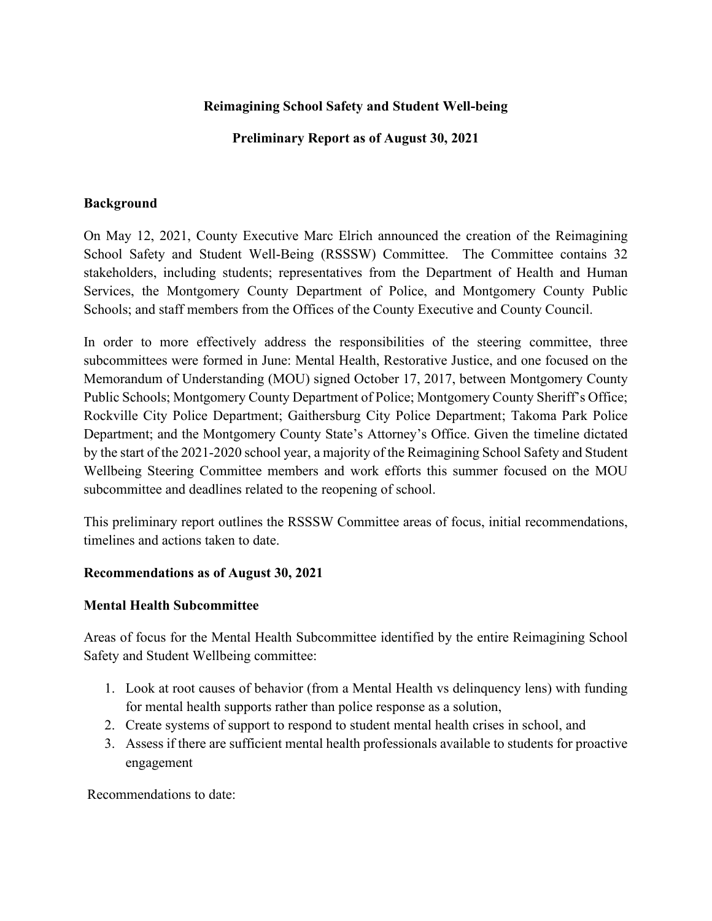# **Reimagining School Safety and Student Well-being**

# **Preliminary Report as of August 30, 2021**

### **Background**

On May 12, 2021, County Executive Marc Elrich announced the creation of the Reimagining School Safety and Student Well-Being (RSSSW) Committee. The Committee contains 32 stakeholders, including students; representatives from the Department of Health and Human Services, the Montgomery County Department of Police, and Montgomery County Public Schools; and staff members from the Offices of the County Executive and County Council.

In order to more effectively address the responsibilities of the steering committee, three subcommittees were formed in June: Mental Health, Restorative Justice, and one focused on the Memorandum of Understanding (MOU) signed October 17, 2017, between Montgomery County Public Schools; Montgomery County Department of Police; Montgomery County Sheriff's Office; Rockville City Police Department; Gaithersburg City Police Department; Takoma Park Police Department; and the Montgomery County State's Attorney's Office. Given the timeline dictated by the start of the 2021-2020 school year, a majority of the Reimagining School Safety and Student Wellbeing Steering Committee members and work efforts this summer focused on the MOU subcommittee and deadlines related to the reopening of school.

This preliminary report outlines the RSSSW Committee areas of focus, initial recommendations, timelines and actions taken to date.

# **Recommendations as of August 30, 2021**

# **Mental Health Subcommittee**

Areas of focus for the Mental Health Subcommittee identified by the entire Reimagining School Safety and Student Wellbeing committee:

- 1. Look at root causes of behavior (from a Mental Health vs delinquency lens) with funding for mental health supports rather than police response as a solution,
- 2. Create systems of support to respond to student mental health crises in school, and
- 3. Assess if there are sufficient mental health professionals available to students for proactive engagement

Recommendations to date: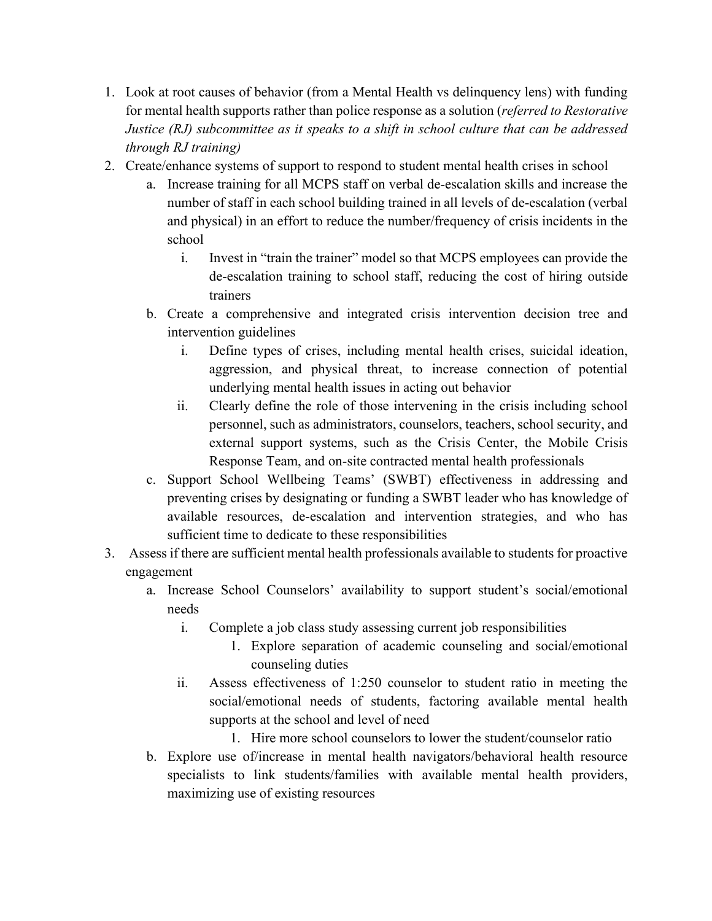- 1. Look at root causes of behavior (from a Mental Health vs delinquency lens) with funding for mental health supports rather than police response as a solution (*referred to Restorative Justice (RJ) subcommittee as it speaks to a shift in school culture that can be addressed through RJ training)*
- 2. Create/enhance systems of support to respond to student mental health crises in school
	- a. Increase training for all MCPS staff on verbal de-escalation skills and increase the number of staff in each school building trained in all levels of de-escalation (verbal and physical) in an effort to reduce the number/frequency of crisis incidents in the school
		- i. Invest in "train the trainer" model so that MCPS employees can provide the de-escalation training to school staff, reducing the cost of hiring outside trainers
	- b. Create a comprehensive and integrated crisis intervention decision tree and intervention guidelines
		- i. Define types of crises, including mental health crises, suicidal ideation, aggression, and physical threat, to increase connection of potential underlying mental health issues in acting out behavior
		- ii. Clearly define the role of those intervening in the crisis including school personnel, such as administrators, counselors, teachers, school security, and external support systems, such as the Crisis Center, the Mobile Crisis Response Team, and on-site contracted mental health professionals
	- c. Support School Wellbeing Teams' (SWBT) effectiveness in addressing and preventing crises by designating or funding a SWBT leader who has knowledge of available resources, de-escalation and intervention strategies, and who has sufficient time to dedicate to these responsibilities
- 3. Assess if there are sufficient mental health professionals available to students for proactive engagement
	- a. Increase School Counselors' availability to support student's social/emotional needs
		- i. Complete a job class study assessing current job responsibilities
			- 1. Explore separation of academic counseling and social/emotional counseling duties
		- ii. Assess effectiveness of 1:250 counselor to student ratio in meeting the social/emotional needs of students, factoring available mental health supports at the school and level of need
			- 1. Hire more school counselors to lower the student/counselor ratio
	- b. Explore use of/increase in mental health navigators/behavioral health resource specialists to link students/families with available mental health providers, maximizing use of existing resources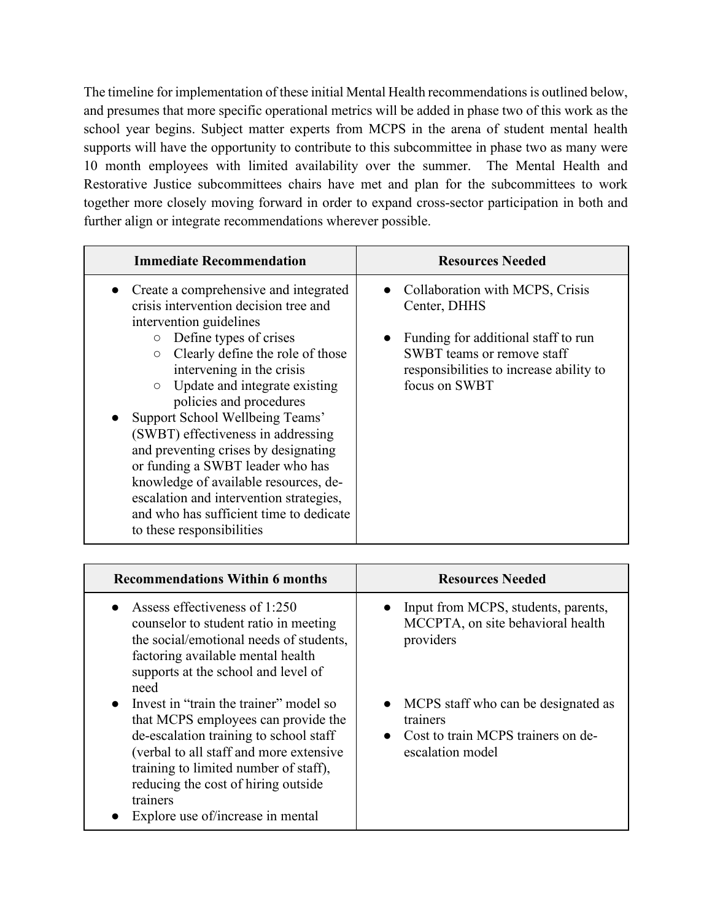The timeline for implementation of these initial Mental Health recommendations is outlined below, and presumes that more specific operational metrics will be added in phase two of this work as the school year begins. Subject matter experts from MCPS in the arena of student mental health supports will have the opportunity to contribute to this subcommittee in phase two as many were 10 month employees with limited availability over the summer. The Mental Health and Restorative Justice subcommittees chairs have met and plan for the subcommittees to work together more closely moving forward in order to expand cross-sector participation in both and further align or integrate recommendations wherever possible.

| <b>Immediate Recommendation</b>                                                                                                                                                                                                                                                                                                                                                                                                                                                                       | <b>Resources Needed</b>                                                                                                                    |
|-------------------------------------------------------------------------------------------------------------------------------------------------------------------------------------------------------------------------------------------------------------------------------------------------------------------------------------------------------------------------------------------------------------------------------------------------------------------------------------------------------|--------------------------------------------------------------------------------------------------------------------------------------------|
| Create a comprehensive and integrated<br>crisis intervention decision tree and<br>intervention guidelines                                                                                                                                                                                                                                                                                                                                                                                             | Collaboration with MCPS, Crisis<br>Center, DHHS                                                                                            |
| Define types of crises<br>$\circ$<br>Clearly define the role of those<br>$\circ$<br>intervening in the crisis<br>Update and integrate existing<br>$\circ$<br>policies and procedures<br>Support School Wellbeing Teams'<br>(SWBT) effectiveness in addressing<br>and preventing crises by designating<br>or funding a SWBT leader who has<br>knowledge of available resources, de-<br>escalation and intervention strategies,<br>and who has sufficient time to dedicate<br>to these responsibilities | Funding for additional staff to run<br>$\bullet$<br>SWBT teams or remove staff<br>responsibilities to increase ability to<br>focus on SWBT |

| <b>Recommendations Within 6 months</b>                                                                                                                                                                                                                                                                                                                                                                                                                                                                       | <b>Resources Needed</b>                                                                                                                                                                                             |
|--------------------------------------------------------------------------------------------------------------------------------------------------------------------------------------------------------------------------------------------------------------------------------------------------------------------------------------------------------------------------------------------------------------------------------------------------------------------------------------------------------------|---------------------------------------------------------------------------------------------------------------------------------------------------------------------------------------------------------------------|
| Assess effectiveness of 1:250<br>counselor to student ratio in meeting<br>the social/emotional needs of students,<br>factoring available mental health<br>supports at the school and level of<br>need<br>Invest in "train the trainer" model so<br>that MCPS employees can provide the<br>de-escalation training to school staff<br>(verbal to all staff and more extensive<br>training to limited number of staff),<br>reducing the cost of hiring outside<br>trainers<br>Explore use of/increase in mental | Input from MCPS, students, parents,<br>$\bullet$<br>MCCPTA, on site behavioral health<br>providers<br>• MCPS staff who can be designated as<br>trainers<br>• Cost to train MCPS trainers on de-<br>escalation model |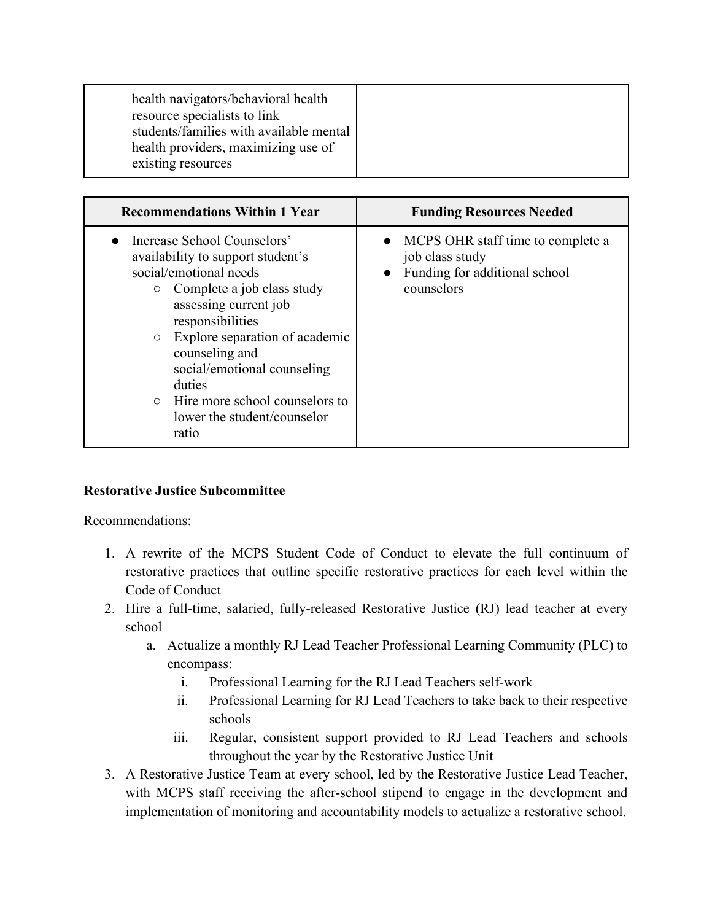| health navigators/behavioral health<br>resource specialists to link<br>students/families with available mental<br>health providers, maximizing use of<br>existing resources |  |
|-----------------------------------------------------------------------------------------------------------------------------------------------------------------------------|--|
|-----------------------------------------------------------------------------------------------------------------------------------------------------------------------------|--|

| <b>Recommendations Within 1 Year</b>                                                                                                                                                                                                                                                                                                                                               | <b>Funding Resources Needed</b>                                                                                    |
|------------------------------------------------------------------------------------------------------------------------------------------------------------------------------------------------------------------------------------------------------------------------------------------------------------------------------------------------------------------------------------|--------------------------------------------------------------------------------------------------------------------|
| • Increase School Counselors'<br>availability to support student's<br>social/emotional needs<br>Complete a job class study<br>$\circ$<br>assessing current job<br>responsibilities<br>Explore separation of academic<br>$\circ$<br>counseling and<br>social/emotional counseling<br>duties<br>Hire more school counselors to<br>$\bigcirc$<br>lower the student/counselor<br>ratio | • MCPS OHR staff time to complete a<br>job class study<br>Funding for additional school<br>$\bullet$<br>counselors |

# **Restorative Justice Subcommittee**

Recommendations:

- 1. A rewrite of the MCPS Student Code of Conduct to elevate the full continuum of restorative practices that outline specific restorative practices for each level within the Code of Conduct
- 2. Hire a full-time, salaried, fully-released Restorative Justice (RJ) lead teacher at every school
	- a. Actualize a monthly RJ Lead Teacher Professional Learning Community (PLC) to encompass:
		- i. Professional Learning for the RJ Lead Teachers self-work
		- ii. Professional Learning for RJ Lead Teachers to take back to their respective schools
		- iii. Regular, consistent support provided to RJ Lead Teachers and schools throughout the year by the Restorative Justice Unit
- 3. A Restorative Justice Team at every school, led by the Restorative Justice Lead Teacher, with MCPS staff receiving the after-school stipend to engage in the development and implementation of monitoring and accountability models to actualize a restorative school.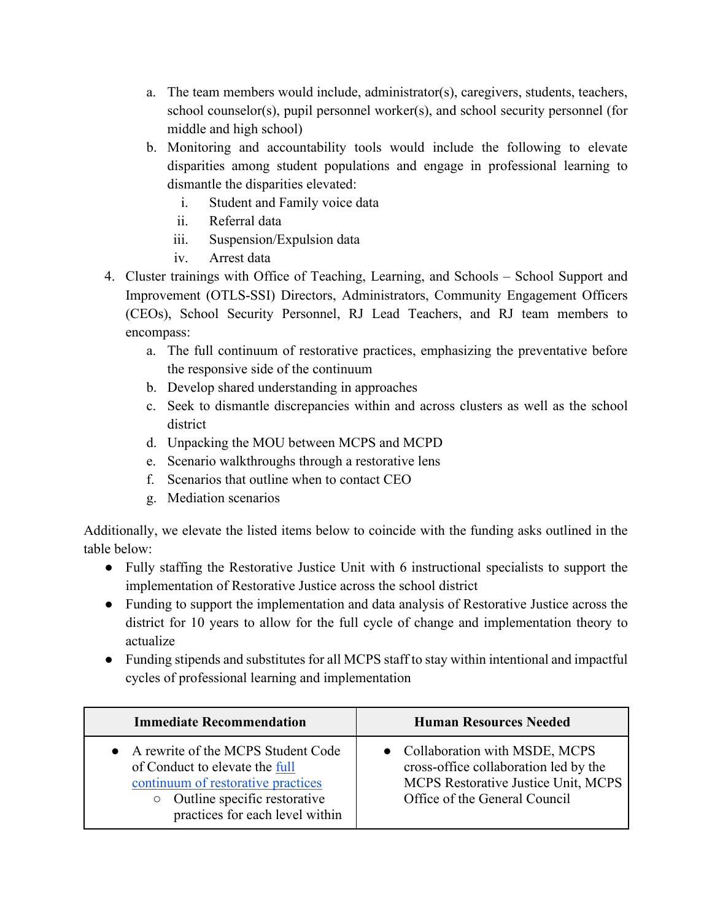- a. The team members would include, administrator(s), caregivers, students, teachers, school counselor(s), pupil personnel worker(s), and school security personnel (for middle and high school)
- b. Monitoring and accountability tools would include the following to elevate disparities among student populations and engage in professional learning to dismantle the disparities elevated:
	- i. Student and Family voice data
	- ii. Referral data
	- iii. Suspension/Expulsion data
	- iv. Arrest data
- 4. Cluster trainings with Office of Teaching, Learning, and Schools School Support and Improvement (OTLS-SSI) Directors, Administrators, Community Engagement Officers (CEOs), School Security Personnel, RJ Lead Teachers, and RJ team members to encompass:
	- a. The full continuum of restorative practices, emphasizing the preventative before the responsive side of the continuum
	- b. Develop shared understanding in approaches
	- c. Seek to dismantle discrepancies within and across clusters as well as the school district
	- d. Unpacking the MOU between MCPS and MCPD
	- e. Scenario walkthroughs through a restorative lens
	- f. Scenarios that outline when to contact CEO
	- g. Mediation scenarios

Additionally, we elevate the listed items below to coincide with the funding asks outlined in the table below:

- Fully staffing the Restorative Justice Unit with 6 instructional specialists to support the implementation of Restorative Justice across the school district
- Funding to support the implementation and data analysis of Restorative Justice across the district for 10 years to allow for the full cycle of change and implementation theory to actualize
- Funding stipends and substitutes for all MCPS staff to stay within intentional and impactful cycles of professional learning and implementation

| <b>Immediate Recommendation</b>                                                                                                                                                               | <b>Human Resources Needed</b>                                                                                                                    |
|-----------------------------------------------------------------------------------------------------------------------------------------------------------------------------------------------|--------------------------------------------------------------------------------------------------------------------------------------------------|
| • A rewrite of the MCPS Student Code<br>of Conduct to elevate the full<br>continuum of restorative practices<br>Outline specific restorative<br>$\bigcirc$<br>practices for each level within | • Collaboration with MSDE, MCPS<br>cross-office collaboration led by the<br>MCPS Restorative Justice Unit, MCPS<br>Office of the General Council |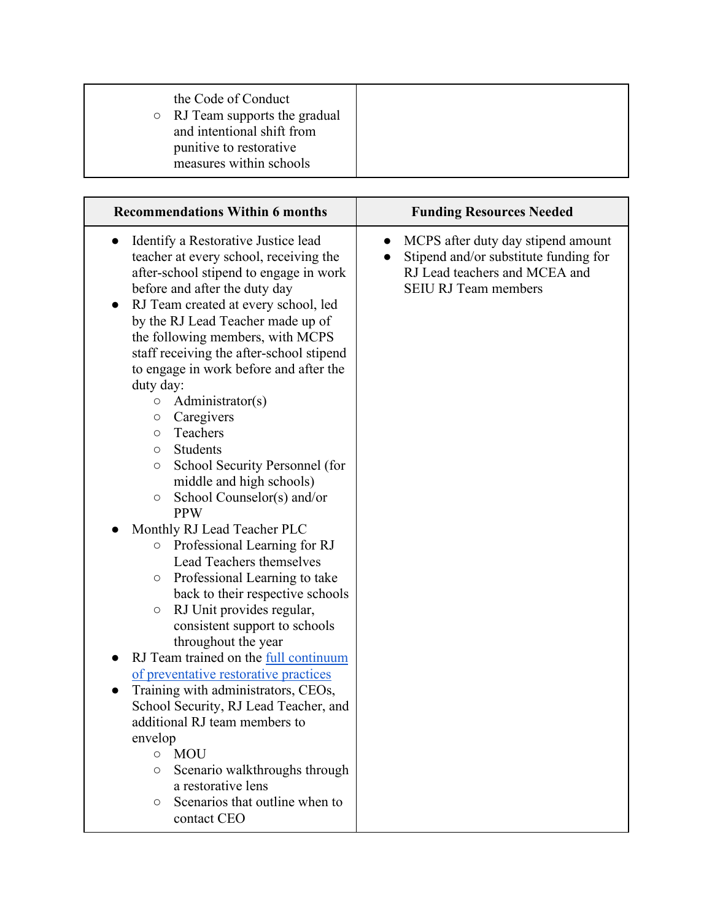| the Code of Conduct<br>RJ Team supports the gradual<br>$\circ$<br>and intentional shift from<br>punitive to restorative<br>measures within schools                                                                                                                                                                                                                                                                                                                                                                                                                                                                                                                                                                                                                                                                                                                                                                                                                                                                                                                                                                                                                                                                                                                      |                                                                                                                                             |
|-------------------------------------------------------------------------------------------------------------------------------------------------------------------------------------------------------------------------------------------------------------------------------------------------------------------------------------------------------------------------------------------------------------------------------------------------------------------------------------------------------------------------------------------------------------------------------------------------------------------------------------------------------------------------------------------------------------------------------------------------------------------------------------------------------------------------------------------------------------------------------------------------------------------------------------------------------------------------------------------------------------------------------------------------------------------------------------------------------------------------------------------------------------------------------------------------------------------------------------------------------------------------|---------------------------------------------------------------------------------------------------------------------------------------------|
| <b>Recommendations Within 6 months</b>                                                                                                                                                                                                                                                                                                                                                                                                                                                                                                                                                                                                                                                                                                                                                                                                                                                                                                                                                                                                                                                                                                                                                                                                                                  | <b>Funding Resources Needed</b>                                                                                                             |
| Identify a Restorative Justice lead<br>$\bullet$<br>teacher at every school, receiving the<br>after-school stipend to engage in work<br>before and after the duty day<br>RJ Team created at every school, led<br>$\bullet$<br>by the RJ Lead Teacher made up of<br>the following members, with MCPS<br>staff receiving the after-school stipend<br>to engage in work before and after the<br>duty day:<br>Administrator(s)<br>О<br>Caregivers<br>О<br>Teachers<br>$\circ$<br>Students<br>O<br>School Security Personnel (for<br>О<br>middle and high schools)<br>School Counselor(s) and/or<br>$\circ$<br><b>PPW</b><br>Monthly RJ Lead Teacher PLC<br>Professional Learning for RJ<br>$\bigcirc$<br>Lead Teachers themselves<br>Professional Learning to take<br>О<br>back to their respective schools<br>RJ Unit provides regular,<br>O<br>consistent support to schools<br>throughout the year<br>RJ Team trained on the full continuum<br>of preventative restorative practices<br>Training with administrators, CEOs,<br>$\bullet$<br>School Security, RJ Lead Teacher, and<br>additional RJ team members to<br>envelop<br><b>MOU</b><br>$\circ$<br>Scenario walkthroughs through<br>O<br>a restorative lens<br>Scenarios that outline when to<br>О<br>contact CEO | MCPS after duty day stipend amount<br>Stipend and/or substitute funding for<br>RJ Lead teachers and MCEA and<br><b>SEIU RJ Team members</b> |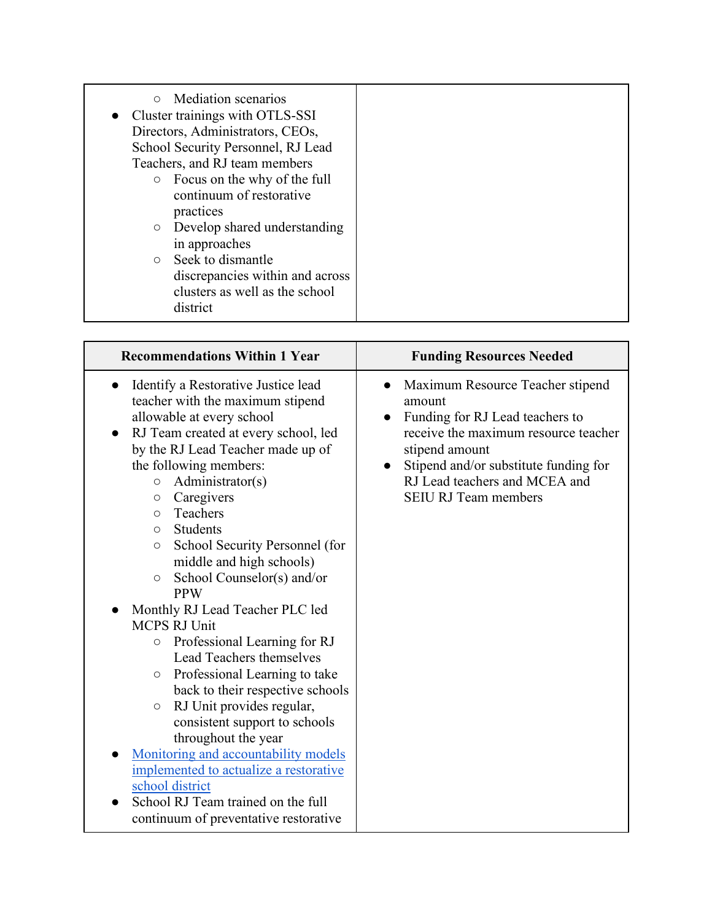| <b>Mediation scenarios</b><br>$\bigcirc$<br>• Cluster trainings with OTLS-SSI                                                                                                                                                                                             |  |
|---------------------------------------------------------------------------------------------------------------------------------------------------------------------------------------------------------------------------------------------------------------------------|--|
| Directors, Administrators, CEOs,                                                                                                                                                                                                                                          |  |
| School Security Personnel, RJ Lead                                                                                                                                                                                                                                        |  |
| Teachers, and RJ team members                                                                                                                                                                                                                                             |  |
| Focus on the why of the full<br>$\circlearrowright$<br>continuum of restorative<br>practices<br>Develop shared understanding<br>$\circ$<br>in approaches<br>Seek to dismantle<br>$\circ$<br>discrepancies within and across<br>clusters as well as the school<br>district |  |

| <b>Recommendations Within 1 Year</b>                                                                                                                                                                                                                                                                                                                                                                                                                                                                                                                                                                                                                                                                                                                                                                                                                                                                                                                                       | <b>Funding Resources Needed</b>                                                                                                                                                                                                                  |
|----------------------------------------------------------------------------------------------------------------------------------------------------------------------------------------------------------------------------------------------------------------------------------------------------------------------------------------------------------------------------------------------------------------------------------------------------------------------------------------------------------------------------------------------------------------------------------------------------------------------------------------------------------------------------------------------------------------------------------------------------------------------------------------------------------------------------------------------------------------------------------------------------------------------------------------------------------------------------|--------------------------------------------------------------------------------------------------------------------------------------------------------------------------------------------------------------------------------------------------|
| Identify a Restorative Justice lead<br>$\bullet$<br>teacher with the maximum stipend<br>allowable at every school<br>RJ Team created at every school, led<br>by the RJ Lead Teacher made up of<br>the following members:<br>Administrator(s)<br>$\bigcirc$<br>Caregivers<br>О<br>Teachers<br>$\circ$<br>Students<br>$\circ$<br>School Security Personnel (for<br>$\circ$<br>middle and high schools)<br>School Counselor(s) and/or<br>$\bigcirc$<br><b>PPW</b><br>Monthly RJ Lead Teacher PLC led<br><b>MCPS RJ Unit</b><br>Professional Learning for RJ<br>$\bigcirc$<br><b>Lead Teachers themselves</b><br>Professional Learning to take<br>О<br>back to their respective schools<br>RJ Unit provides regular,<br>$\bigcirc$<br>consistent support to schools<br>throughout the year<br>Monitoring and accountability models<br>implemented to actualize a restorative<br>school district<br>School RJ Team trained on the full<br>continuum of preventative restorative | Maximum Resource Teacher stipend<br>amount<br>Funding for RJ Lead teachers to<br>receive the maximum resource teacher<br>stipend amount<br>Stipend and/or substitute funding for<br>RJ Lead teachers and MCEA and<br><b>SEIU RJ Team members</b> |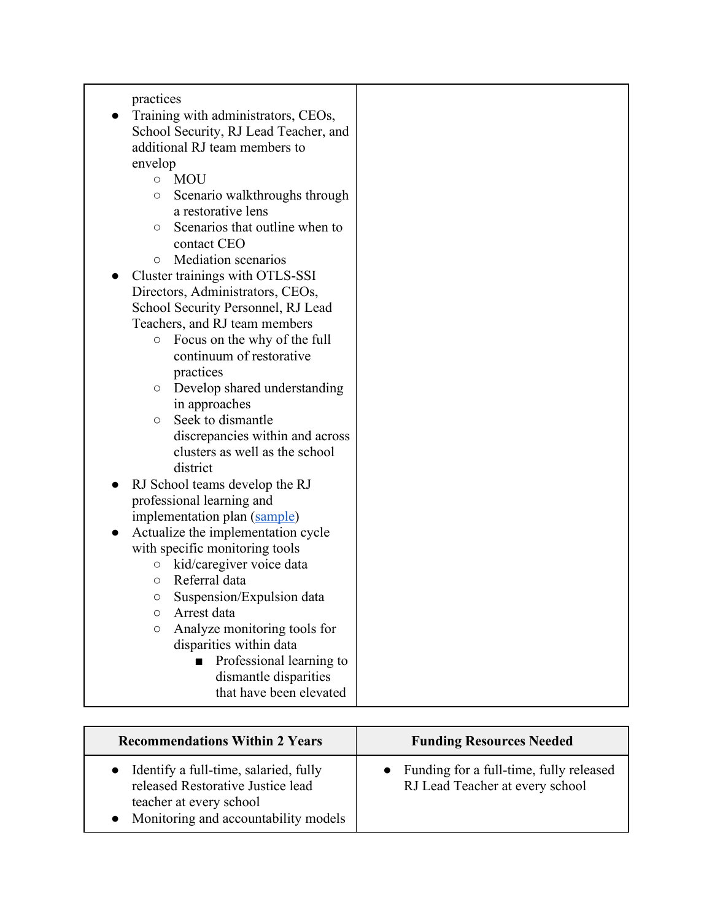|           | practices                                  |
|-----------|--------------------------------------------|
|           | Training with administrators, CEOs,        |
|           | School Security, RJ Lead Teacher, and      |
|           | additional RJ team members to              |
|           | envelop                                    |
|           | MOU<br>$\circ$                             |
|           | Scenario walkthroughs through<br>О         |
|           | a restorative lens                         |
|           | Scenarios that outline when to<br>О        |
|           | contact CEO                                |
|           | <b>Mediation</b> scenarios<br>$\circ$      |
| $\bullet$ | Cluster trainings with OTLS-SSI            |
|           | Directors, Administrators, CEOs,           |
|           | School Security Personnel, RJ Lead         |
|           | Teachers, and RJ team members              |
|           | Focus on the why of the full<br>$\bigcirc$ |
|           | continuum of restorative                   |
|           | practices                                  |
|           | Develop shared understanding<br>О          |
|           | in approaches                              |
|           | Seek to dismantle<br>$\circ$               |
|           | discrepancies within and across            |
|           | clusters as well as the school             |
|           | district                                   |
|           | RJ School teams develop the RJ             |
|           | professional learning and                  |
|           | implementation plan (sample)               |
|           | Actualize the implementation cycle         |
|           | with specific monitoring tools             |
|           | kid/caregiver voice data<br>$\bigcirc$     |
|           | Referral data<br>$\circ$                   |
|           | <b>Suspension/Expulsion data</b>           |
|           | Arrest data<br>$\circ$                     |
|           | Analyze monitoring tools for<br>$\bigcirc$ |
|           | disparities within data                    |
|           | Professional learning to                   |
|           | dismantle disparities                      |
|           | that have been elevated                    |

| <b>Recommendations Within 2 Years</b>                                                                                                         | <b>Funding Resources Needed</b>                                              |
|-----------------------------------------------------------------------------------------------------------------------------------------------|------------------------------------------------------------------------------|
| Identify a full-time, salaried, fully<br>released Restorative Justice lead<br>teacher at every school<br>Monitoring and accountability models | • Funding for a full-time, fully released<br>RJ Lead Teacher at every school |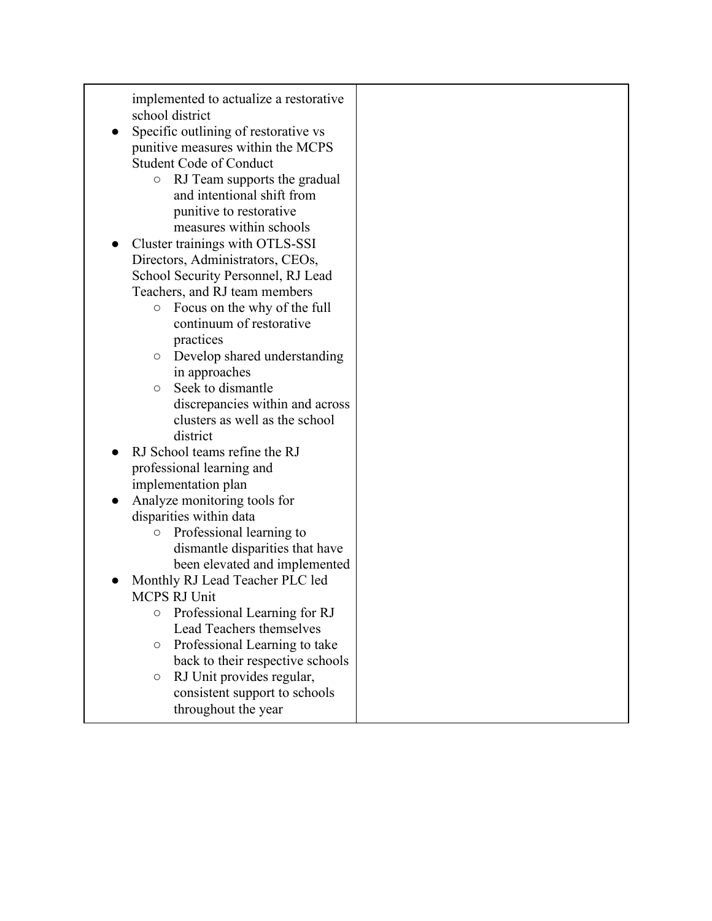implemented to actualize a restorative school district

- Specific outlining of restorative vs punitive measures within the MCPS Student Code of Conduct
	- RJ Team supports the gradual and intentional shift from punitive to restorative measures within schools
- Cluster trainings with OTLS-SSI Directors, Administrators, CEOs, School Security Personnel, RJ Lead Teachers, and RJ team members
	- Focus on the why of the full continuum of restorative practices
	- Develop shared understanding in approaches
	- Seek to dismantle discrepancies within and across clusters as well as the school district
- RJ School teams refine the RJ professional learning and implementation plan
- Analyze monitoring tools for disparities within data
	- Professional learning to dismantle disparities that have been elevated and implemented
- Monthly RJ Lead Teacher PLC led MCPS RJ Unit
	- Professional Learning for RJ Lead Teachers themselves
	- Professional Learning to take back to their respective schools
	- RJ Unit provides regular, consistent support to schools throughout the year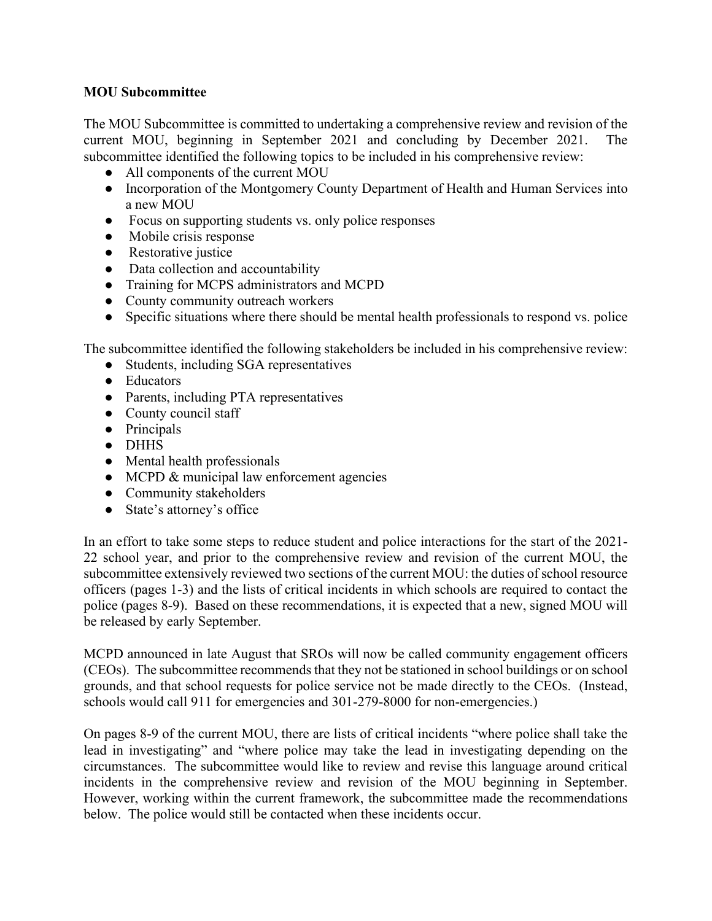### **MOU Subcommittee**

The MOU Subcommittee is committed to undertaking a comprehensive review and revision of the current MOU, beginning in September 2021 and concluding by December 2021. The subcommittee identified the following topics to be included in his comprehensive review:

- All components of the current MOU
- Incorporation of the Montgomery County Department of Health and Human Services into a new MOU
- Focus on supporting students vs. only police responses
- Mobile crisis response
- Restorative justice
- Data collection and accountability
- Training for MCPS administrators and MCPD
- County community outreach workers
- Specific situations where there should be mental health professionals to respond vs. police

The subcommittee identified the following stakeholders be included in his comprehensive review:

- Students, including SGA representatives
- Educators
- Parents, including PTA representatives
- County council staff
- Principals
- DHHS
- Mental health professionals
- MCPD & municipal law enforcement agencies
- Community stakeholders
- State's attorney's office

In an effort to take some steps to reduce student and police interactions for the start of the 2021- 22 school year, and prior to the comprehensive review and revision of the current MOU, the subcommittee extensively reviewed two sections of the current MOU: the duties of school resource officers (pages 1-3) and the lists of critical incidents in which schools are required to contact the police (pages 8-9). Based on these recommendations, it is expected that a new, signed MOU will be released by early September.

MCPD announced in late August that SROs will now be called community engagement officers (CEOs). The subcommittee recommends that they not be stationed in school buildings or on school grounds, and that school requests for police service not be made directly to the CEOs. (Instead, schools would call 911 for emergencies and 301-279-8000 for non-emergencies.)

On pages 8-9 of the current MOU, there are lists of critical incidents "where police shall take the lead in investigating" and "where police may take the lead in investigating depending on the circumstances. The subcommittee would like to review and revise this language around critical incidents in the comprehensive review and revision of the MOU beginning in September. However, working within the current framework, the subcommittee made the recommendations below. The police would still be contacted when these incidents occur.